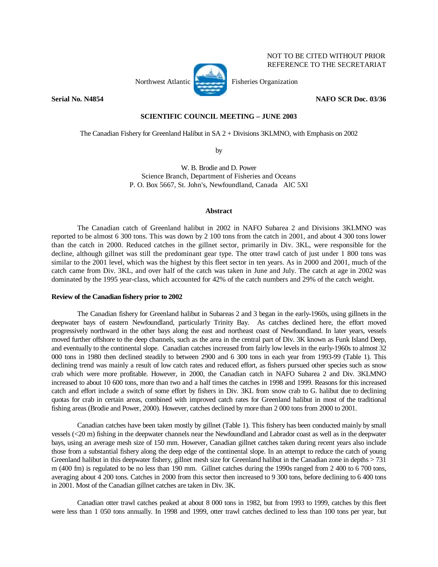

NOT TO BE CITED WITHOUT PRIOR REFERENCE TO THE SECRETARIAT

## **Serial No. N4854** NAFO SCR Doc. 03/36

# **SCIENTIFIC COUNCIL MEETING – JUNE 2003**

The Canadian Fishery for Greenland Halibut in SA 2 + Divisions 3KLMNO, with Emphasis on 2002

by

W. B. Brodie and D. Power Science Branch, Department of Fisheries and Oceans P. O. Box 5667, St. John's, Newfoundland, Canada AlC 5Xl

## **Abstract**

 The Canadian catch of Greenland halibut in 2002 in NAFO Subarea 2 and Divisions 3KLMNO was reported to be almost 6 300 tons. This was down by 2 100 tons from the catch in 2001, and about 4 300 tons lower than the catch in 2000. Reduced catches in the gillnet sector, primarily in Div. 3KL, were responsible for the decline, although gillnet was still the predominant gear type. The otter trawl catch of just under 1 800 tons was similar to the 2001 level, which was the highest by this fleet sector in ten years. As in 2000 and 2001, much of the catch came from Div. 3KL, and over half of the catch was taken in June and July. The catch at age in 2002 was dominated by the 1995 year-class, which accounted for 42% of the catch numbers and 29% of the catch weight.

### **Review of the Canadian fishery prior to 2002**

 The Canadian fishery for Greenland halibut in Subareas 2 and 3 began in the early-1960s, using gillnets in the deepwater bays of eastern Newfoundland, particularly Trinity Bay. As catches declined here, the effort moved progressively northward in the other bays along the east and northeast coast of Newfoundland. In later years, vessels moved further offshore to the deep channels, such as the area in the central part of Div. 3K known as Funk Island Deep, and eventually to the continental slope. Canadian catches increased from fairly low levels in the early-1960s to almost 32 000 tons in 1980 then declined steadily to between 2900 and 6 300 tons in each year from 1993-99 (Table 1). This declining trend was mainly a result of low catch rates and reduced effort, as fishers pursued other species such as snow crab which were more profitable. However, in 2000, the Canadian catch in NAFO Subarea 2 and Div. 3KLMNO increased to about 10 600 tons, more than two and a half times the catches in 1998 and 1999. Reasons for this increased catch and effort include a switch of some effort by fishers in Div. 3KL from snow crab to G. halibut due to declining quotas for crab in certain areas, combined with improved catch rates for Greenland halibut in most of the traditional fishing areas (Brodie and Power, 2000). However, catches declined by more than 2 000 tons from 2000 to 2001.

 Canadian catches have been taken mostly by gillnet (Table 1). This fishery has been conducted mainly by small vessels (<20 m) fishing in the deepwater channels near the Newfoundland and Labrador coast as well as in the deepwater bays, using an average mesh size of 150 mm. However, Canadian gillnet catches taken during recent years also include those from a substantial fishery along the deep edge of the continental slope. In an attempt to reduce the catch of young Greenland halibut in this deepwater fishery, gillnet mesh size for Greenland halibut in the Canadian zone in depths > 731 m (400 fm) is regulated to be no less than 190 mm. Gillnet catches during the 1990s ranged from 2 400 to 6 700 tons, averaging about 4 200 tons. Catches in 2000 from this sector then increased to 9 300 tons, before declining to 6 400 tons in 2001. Most of the Canadian gillnet catches are taken in Div. 3K.

 Canadian otter trawl catches peaked at about 8 000 tons in 1982, but from 1993 to 1999, catches by this fleet were less than 1 050 tons annually. In 1998 and 1999, otter trawl catches declined to less than 100 tons per year, but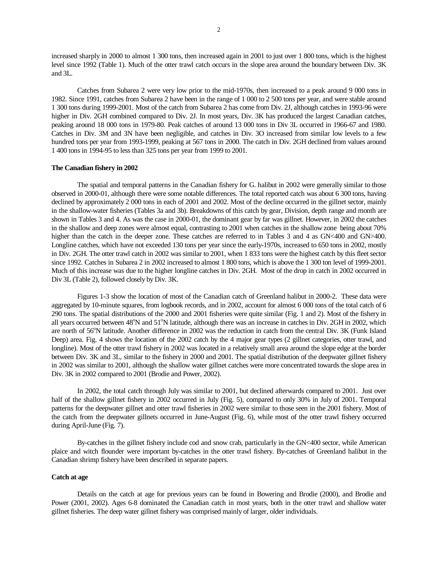increased sharply in 2000 to almost 1 300 tons, then increased again in 2001 to just over 1 800 tons, which is the highest level since 1992 (Table 1). Much of the otter trawl catch occurs in the slope area around the boundary between Div. 3K and 3L.

 Catches from Subarea 2 were very low prior to the mid-1970s, then increased to a peak around 9 000 tons in 1982. Since 1991, catches from Subarea 2 have been in the range of 1 000 to 2 500 tons per year, and were stable around 1 300 tons during 1999-2001. Most of the catch from Subarea 2 has come from Div. 2J, although catches in 1993-96 were higher in Div. 2GH combined compared to Div. 2J. In most years, Div. 3K has produced the largest Canadian catches, peaking around 18 000 tons in 1979-80. Peak catches of around 13 000 tons in Div 3L occurred in 1966-67 and 1980. Catches in Div. 3M and 3N have been negligible, and catches in Div. 3O increased from similar low levels to a few hundred tons per year from 1993-1999, peaking at 567 tons in 2000. The catch in Div. 2GH declined from values around 1 400 tons in 1994-95 to less than 325 tons per year from 1999 to 2001.

#### **The Canadian fishery in 2002**

 The spatial and temporal patterns in the Canadian fishery for G. halibut in 2002 were generally similar to those observed in 2000-01, although there were some notable differences. The total reported catch was about 6 300 tons, having declined by approximately 2 000 tons in each of 2001 and 2002. Most of the decline occurred in the gillnet sector, mainly in the shallow-water fisheries (Tables 3a and 3b). Breakdowns of this catch by gear, Division, depth range and month are shown in Tables 3 and 4. As was the case in 2000-01, the dominant gear by far was gillnet. However, in 2002 the catches in the shallow and deep zones were almost equal, contrasting to 2001 when catches in the shallow zone being about 70% higher than the catch in the deeper zone. These catches are referred to in Tables 3 and 4 as GN<400 and GN>400. Longline catches, which have not exceeded 130 tons per year since the early-1970s, increased to 650 tons in 2002, mostly in Div. 2GH. The otter trawl catch in 2002 was similar to 2001, when 1 833 tons were the highest catch by this fleet sector since 1992. Catches in Subarea 2 in 2002 increased to almost 1 800 tons, which is above the 1 300 ton level of 1999-2001. Much of this increase was due to the higher longline catches in Div. 2GH. Most of the drop in catch in 2002 occurred in Div 3L (Table 2), followed closely by Div. 3K.

 Figures 1-3 show the location of most of the Canadian catch of Greenland halibut in 2000-2. These data were aggregated by 10-minute squares, from logbook records, and in 2002, account for almost 6 000 tons of the total catch of 6 290 tons. The spatial distributions of the 2000 and 2001 fisheries were quite similar (Fig. 1 and 2). Most of the fishery in all years occurred between 48°N and 51°N latitude, although there was an increase in catches in Div. 2GH in 2002, which are north of 56°N latitude. Another difference in 2002 was the reduction in catch from the central Div. 3K (Funk Island Deep) area. Fig. 4 shows the location of the 2002 catch by the 4 major gear types (2 gillnet categories, otter trawl, and longline). Most of the otter trawl fishery in 2002 was located in a relatively small area around the slope edge at the border between Div. 3K and 3L, similar to the fishery in 2000 and 2001. The spatial distribution of the deepwater gillnet fishery in 2002 was similar to 2001, although the shallow water gillnet catches were more concentrated towards the slope area in Div. 3K in 2002 compared to 2001 (Brodie and Power, 2002).

 In 2002, the total catch through July was similar to 2001, but declined afterwards compared to 2001. Just over half of the shallow gillnet fishery in 2002 occurred in July (Fig. 5), compared to only 30% in July of 2001. Temporal patterns for the deepwater gillnet and otter trawl fisheries in 2002 were similar to those seen in the 2001 fishery. Most of the catch from the deepwater gillnets occurred in June-August (Fig. 6), while most of the otter trawl fishery occurred during April-June (Fig. 7).

 By-catches in the gillnet fishery include cod and snow crab, particularly in the GN<400 sector, while American plaice and witch flounder were important by-catches in the otter trawl fishery. By-catches of Greenland halibut in the Canadian shrimp fishery have been described in separate papers.

#### **Catch at age**

 Details on the catch at age for previous years can be found in Bowering and Brodie (2000), and Brodie and Power (2001, 2002). Ages 6-8 dominated the Canadian catch in most years, both in the otter trawl and shallow water gillnet fisheries. The deep water gillnet fishery was comprised mainly of larger, older individuals.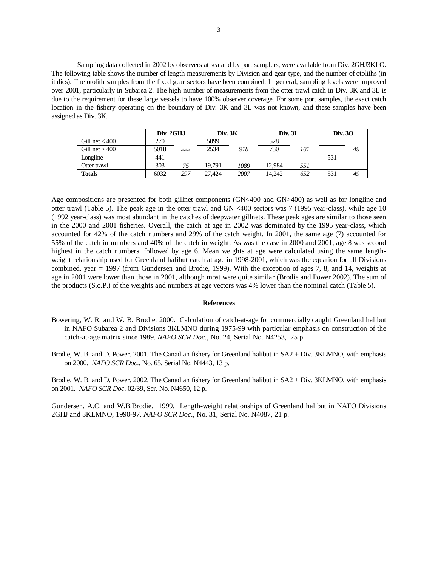Sampling data collected in 2002 by observers at sea and by port samplers, were available from Div. 2GHJ3KLO. The following table shows the number of length measurements by Division and gear type, and the number of otoliths (in italics). The otolith samples from the fixed gear sectors have been combined. In general, sampling levels were improved over 2001, particularly in Subarea 2. The high number of measurements from the otter trawl catch in Div. 3K and 3L is due to the requirement for these large vessels to have 100% observer coverage. For some port samples, the exact catch location in the fishery operating on the boundary of Div. 3K and 3L was not known, and these samples have been assigned as Div. 3K.

|                  | Div. 2GHJ |     | Div. 3K |      | Div. 3L |     | Div. 30 |    |
|------------------|-----------|-----|---------|------|---------|-----|---------|----|
| Gill net $<$ 400 | 270       |     | 5099    |      | 528     |     |         |    |
| Gill net $>400$  | 5018      | 222 | 2534    | 918  | 730     | 101 |         | 49 |
| Longline         | 441       |     |         |      |         |     | 531     |    |
| Otter trawl      | 303       | 75  | 19.791  | 1089 | 12.984  | 551 |         |    |
| Totals           | 6032      | 297 | 27.424  | 2007 | 14.242  | 652 | 531     | 49 |

Age compositions are presented for both gillnet components (GN<400 and GN>400) as well as for longline and otter trawl (Table 5). The peak age in the otter trawl and GN <400 sectors was 7 (1995 year-class), while age 10 (1992 year-class) was most abundant in the catches of deepwater gillnets. These peak ages are similar to those seen in the 2000 and 2001 fisheries. Overall, the catch at age in 2002 was dominated by the 1995 year-class, which accounted for 42% of the catch numbers and 29% of the catch weight. In 2001, the same age (7) accounted for 55% of the catch in numbers and 40% of the catch in weight. As was the case in 2000 and 2001, age 8 was second highest in the catch numbers, followed by age 6. Mean weights at age were calculated using the same lengthweight relationship used for Greenland halibut catch at age in 1998-2001, which was the equation for all Divisions combined, year = 1997 (from Gundersen and Brodie, 1999). With the exception of ages 7, 8, and 14, weights at age in 2001 were lower than those in 2001, although most were quite similar (Brodie and Power 2002). The sum of the products (S.o.P.) of the weights and numbers at age vectors was 4% lower than the nominal catch (Table 5).

### **References**

- Bowering, W. R. and W. B. Brodie. 2000. Calculation of catch-at-age for commercially caught Greenland halibut in NAFO Subarea 2 and Divisions 3KLMNO during 1975-99 with particular emphasis on construction of the catch-at-age matrix since 1989. *NAFO SCR Doc*., No. 24, Serial No. N4253, 25 p.
- Brodie, W. B. and D. Power. 2001. The Canadian fishery for Greenland halibut in SA2 + Div. 3KLMNO, with emphasis on 2000. *NAFO SCR Doc*., No. 65, Serial No. N4443, 13 p.

Brodie, W. B. and D. Power. 2002. The Canadian fishery for Greenland halibut in SA2 + Div. 3KLMNO, with emphasis on 2001. *NAFO SCR Doc*. 02/39, Ser. No. N4650, 12 p.

Gundersen, A.C. and W.B.Brodie. 1999. Length-weight relationships of Greenland halibut in NAFO Divisions 2GHJ and 3KLMNO, 1990-97. *NAFO SCR Doc*., No. 31, Serial No. N4087, 21 p.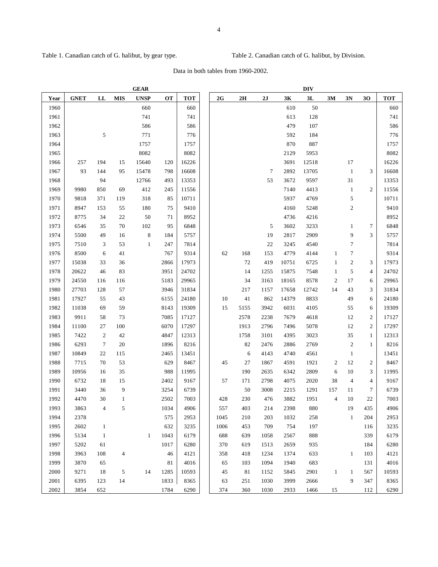Table 1. Canadian catch of G. halibut, by gear type. Table 2. Canadian catch of G. halibut, by Division.

Data in both tables from 1960-2002.

|      |             |                |                | <b>GEAR</b>  |           |       | <b>DIV</b> |               |        |       |       |                |                  |                |            |
|------|-------------|----------------|----------------|--------------|-----------|-------|------------|---------------|--------|-------|-------|----------------|------------------|----------------|------------|
| Year | <b>GNET</b> | LL             | <b>MIS</b>     | <b>UNSP</b>  | <b>OT</b> | TOT   | 2G         | $2\mathbf{H}$ | 2J     | 3K    | 3L    | 3M             | 3N               | 30             | <b>TOT</b> |
| 1960 |             |                |                | 660          |           | 660   |            |               |        | 610   | 50    |                |                  |                | 660        |
| 1961 |             |                |                | 741          |           | 741   |            |               |        | 613   | 128   |                |                  |                | 741        |
| 1962 |             |                |                | 586          |           | 586   |            |               |        | 479   | 107   |                |                  |                | 586        |
| 1963 |             | 5              |                | 771          |           | 776   |            |               |        | 592   | 184   |                |                  |                | 776        |
| 1964 |             |                |                | 1757         |           | 1757  |            |               |        | 870   | 887   |                |                  |                | 1757       |
| 1965 |             |                |                | 8082         |           | 8082  |            |               |        | 2129  | 5953  |                |                  |                | 8082       |
| 1966 | 257         | 194            | 15             | 15640        | 120       | 16226 |            |               |        | 3691  | 12518 |                | 17               |                | 16226      |
| 1967 | 93          | 144            | 95             | 15478        | 798       | 16608 |            |               | $\tau$ | 2892  | 13705 |                | $\mathbf{1}$     | 3              | 16608      |
| 1968 |             | 94             |                | 12766        | 493       | 13353 |            |               | 53     | 3672  | 9597  |                | 31               |                | 13353      |
| 1969 | 9980        | 850            | 69             | 412          | 245       | 11556 |            |               |        | 7140  | 4413  |                | $\mathbf{1}$     | $\overline{c}$ | 11556      |
| 1970 | 9818        | 371            | 119            | 318          | 85        | 10711 |            |               |        | 5937  | 4769  |                | 5                |                | 10711      |
| 1971 | 8947        | 153            | 55             | 180          | 75        | 9410  |            |               |        | 4160  | 5248  |                | $\mathfrak{2}$   |                | 9410       |
| 1972 | 8775        | 34             | 22             | 50           | 71        | 8952  |            |               |        | 4736  | 4216  |                |                  |                | 8952       |
| 1973 | 6546        | 35             | 70             | 102          | 95        | 6848  |            |               | 5      | 3602  | 3233  |                | 1                | 7              | 6848       |
| 1974 | 5500        | 49             | 16             | 8            | 184       | 5757  |            |               | 19     | 2817  | 2909  |                | 9                | 3              | 5757       |
| 1975 | 7510        | 3              | 53             | $\mathbf{1}$ | 247       | 7814  |            |               | 22     | 3245  | 4540  |                | $\tau$           |                | 7814       |
| 1976 | 8500        | 6              | 41             |              | 767       | 9314  | 62         | 168           | 153    | 4779  | 4144  | $\mathbf{1}$   | 7                |                | 9314       |
| 1977 | 15038       | 33             | 36             |              | 2866      | 17973 |            | 72            | 419    | 10751 | 6725  | 1              | $\boldsymbol{2}$ | 3              | 17973      |
| 1978 | 20622       | 46             | 83             |              | 3951      | 24702 |            | 14            | 1255   | 15875 | 7548  | $\mathbf{1}$   | 5                | 4              | 24702      |
| 1979 | 24550       | 116            | 116            |              | 5183      | 29965 |            | 34            | 3163   | 18165 | 8578  | $\mathfrak{2}$ | 17               | 6              | 29965      |
| 1980 | 27703       | 128            | 57             |              | 3946      | 31834 |            | 217           | 1157   | 17658 | 12742 | 14             | 43               | 3              | 31834      |
| 1981 | 17927       | 55             | 43             |              | 6155      | 24180 | 10         | 41            | 862    | 14379 | 8833  |                | 49               | 6              | 24180      |
| 1982 | 11038       | 69             | 59             |              | 8143      | 19309 | 15         | 5155          | 3942   | 6031  | 4105  |                | 55               | 6              | 19309      |
| 1983 | 9911        | 58             | 73             |              | 7085      | 17127 |            | 2578          | 2238   | 7679  | 4618  |                | 12               | $\mathbf{2}$   | 17127      |
| 1984 | 11100       | 27             | 100            |              | 6070      | 17297 |            | 1913          | 2796   | 7496  | 5078  |                | 12               | $\mathfrak{2}$ | 17297      |
| 1985 | 7422        | $\overline{c}$ | 42             |              | 4847      | 12313 |            | 1758          | 3101   | 4395  | 3023  |                | 35               | $\mathbf{1}$   | 12313      |
| 1986 | 6293        | $\tau$         | 20             |              | 1896      | 8216  |            | 82            | 2476   | 2886  | 2769  |                | $\boldsymbol{2}$ | $\mathbf{1}$   | 8216       |
| 1987 | 10849       | 22             | 115            |              | 2465      | 13451 |            | 6             | 4143   | 4740  | 4561  |                | $\mathbf{1}$     |                | 13451      |
| 1988 | 7715        | 70             | 53             |              | 629       | 8467  | 45         | 27            | 1867   | 4591  | 1921  | $\overline{c}$ | 12               | 2              | 8467       |
| 1989 | 10956       | 16             | 35             |              | 988       | 11995 |            | 190           | 2635   | 6342  | 2809  | 6              | 10               | 3              | 11995      |
| 1990 | 6732        | 18             | 15             |              | 2402      | 9167  | 57         | 171           | 2798   | 4075  | 2020  | 38             | $\overline{4}$   | 4              | 9167       |
| 1991 | 3440        | 36             | 9              |              | 3254      | 6739  |            | 50            | 3008   | 2215  | 1291  | 157            | 11               | 7              | 6739       |
| 1992 | 4470        | 30             | $\mathbf{1}$   |              | 2502      | 7003  | 428        | 230           | 476    | 3882  | 1951  | $\overline{4}$ | 10               | 22             | 7003       |
| 1993 | 3863        |                | 5              |              | 1034      | 4906  | 557        | 403           | 214    | 2398  | 880   |                | 19               | 435            | 4906       |
| 1994 | 2378        |                |                |              | 575       | 2953  | 1045       | 210           | 203    | 1032  | 258   |                | $\mathbf{1}$     | 204            | 2953       |
| 1995 | 2602        | $\mathbf{1}$   |                |              | 632       | 3235  | 1006       | 453           | 709    | 754   | 197   |                |                  | 116            | 3235       |
| 1996 | 5134        | $\mathbf{1}$   |                | $\mathbf{1}$ | 1043      | 6179  | 688        | 639           | 1058   | 2567  | 888   |                |                  | 339            | 6179       |
| 1997 | 5202        | 61             |                |              | 1017      | 6280  | 370        | 619           | 1513   | 2659  | 935   |                |                  | 184            | 6280       |
| 1998 | 3963        | 108            | $\overline{4}$ |              | 46        | 4121  | 358        | 418           | 1234   | 1374  | 633   |                | $\mathbf{1}$     | 103            | 4121       |
| 1999 | 3870        | 65             |                |              | 81        | 4016  | 65         | 103           | 1094   | 1940  | 683   |                |                  | 131            | 4016       |
| 2000 | 9271        | 18             | 5              | 14           | 1285      | 10593 | 45         | 81            | 1152   | 5845  | 2901  | $\mathbf{1}$   | $\mathbf{1}$     | 567            | 10593      |
| 2001 | 6395        | 123            | 14             |              | 1833      | 8365  | 63         | 251           | 1030   | 3999  | 2666  |                | 9                | 347            | 8365       |
| 2002 | 3854        | 652            |                |              | 1784      | 6290  | 374        | 360           | 1030   | 2933  | 1466  | 15             |                  | 112            | 6290       |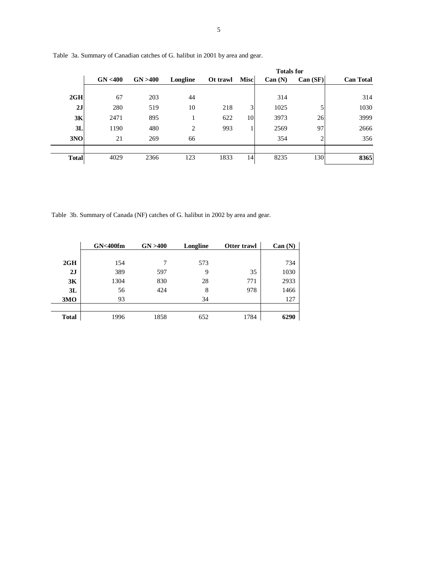|              |          |          |          |          |             |         | <b>Totals for</b> |                  |  |
|--------------|----------|----------|----------|----------|-------------|---------|-------------------|------------------|--|
|              | GN < 400 | GN > 400 | Longline | Ot trawl | <b>Misc</b> | Can (N) | Can (SF)          | <b>Can Total</b> |  |
| 2GH          | 67       | 203      | 44       |          |             | 314     |                   | 314              |  |
| 2J           | 280      | 519      | 10       | 218      | 3           | 1025    | 5                 | 1030             |  |
| 3K           | 2471     | 895      |          | 622      | 10          | 3973    | 26                | 3999             |  |
| 3L           | 1190     | 480      | 2        | 993      |             | 2569    | 97                | 2666             |  |
| 3NO          | 21       | 269      | 66       |          |             | 354     | 2                 | 356              |  |
| <b>Total</b> | 4029     | 2366     | 123      | 1833     | 14          | 8235    | 130               | 8365             |  |

Table 3a. Summary of Canadian catches of G. halibut in 2001 by area and gear.

Table 3b. Summary of Canada (NF) catches of G. halibut in 2002 by area and gear.

|              | GN <sub>400fm</sub> | GN > 400 | Longline | Otter trawl | Can(N) |
|--------------|---------------------|----------|----------|-------------|--------|
|              |                     |          |          |             |        |
| 2GH          | 154                 |          | 573      |             | 734    |
| 2J           | 389                 | 597      | 9        | 35          | 1030   |
| 3K           | 1304                | 830      | 28       | 771         | 2933   |
| 3L           | 56                  | 424      | 8        | 978         | 1466   |
| 3MO          | 93                  |          | 34       |             | 127    |
|              |                     |          |          |             |        |
| <b>Total</b> | 1996                | 1858     | 652      | 1784        | 6290   |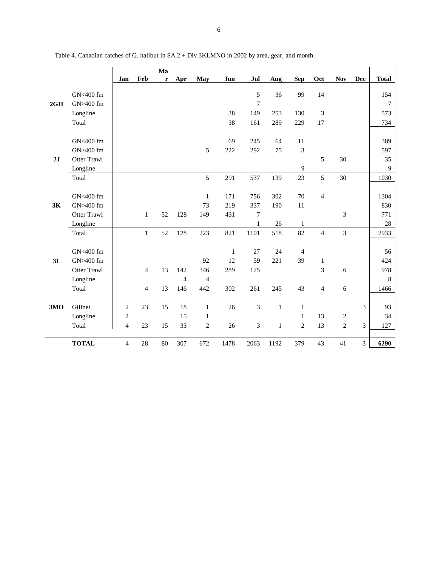|     |                    |                |                | Ma |     |                |              |         |              |                |                          |                |                |              |
|-----|--------------------|----------------|----------------|----|-----|----------------|--------------|---------|--------------|----------------|--------------------------|----------------|----------------|--------------|
|     |                    | Jan            | Feb            | r  | Apr | May            | Jun          | Jul     | Aug          | <b>Sep</b>     | Oct                      | <b>Nov</b>     | Dec            | <b>Total</b> |
|     |                    |                |                |    |     |                |              |         |              |                |                          |                |                |              |
|     | GN<400 fm          |                |                |    |     |                |              | 5       | 36           | 99             | 14                       |                |                | 154          |
| 2GH | GN>400 fm          |                |                |    |     |                |              | $\tau$  |              |                |                          |                |                | 7            |
|     | Longline           |                |                |    |     |                | 38           | 149     | 253          | 130            | 3                        |                |                | 573          |
|     | Total              |                |                |    |     |                | 38           | 161     | 289          | 229            | 17                       |                |                | 734          |
|     |                    |                |                |    |     |                |              |         |              |                |                          |                |                |              |
|     | GN<400 fm          |                |                |    |     |                | 69           | 245     | 64           | 11             |                          |                |                | 389          |
|     | GN>400 fm          |                |                |    |     | 5              | 222          | 292     | 75           | 3              |                          |                |                | 597          |
| 2J  | Otter Trawl        |                |                |    |     |                |              |         |              |                | 5                        | 30             |                | 35           |
|     | Longline           |                |                |    |     |                |              |         |              | 9              |                          |                |                | 9            |
|     | Total              |                |                |    |     | 5              | 291          | 537     | 139          | 23             | 5                        | 30             |                | 1030         |
|     |                    |                |                |    |     |                |              |         |              |                |                          |                |                |              |
|     | GN<400 fm          |                |                |    |     | $\mathbf{1}$   | 171          | 756     | 302          | 70             | $\overline{\mathcal{L}}$ |                |                | 1304         |
| 3K  | GN>400 fm          |                |                |    |     | 73             | 219          | 337     | 190          | 11             |                          |                |                | 830          |
|     | <b>Otter Trawl</b> |                | $\mathbf{1}$   | 52 | 128 | 149            | 431          | 7       |              |                |                          | 3              |                | 771          |
|     | Longline           |                |                |    |     |                |              | $\,1\,$ | 26           | 1              |                          |                |                | 28           |
|     | Total              |                | $\mathbf{1}$   | 52 | 128 | 223            | 821          | 1101    | 518          | 82             | $\overline{4}$           | $\overline{3}$ |                | 2933         |
|     |                    |                |                |    |     |                |              |         |              |                |                          |                |                |              |
|     | GN<400 fm          |                |                |    |     |                | $\mathbf{1}$ | 27      | 24           | 4              |                          |                |                | 56           |
| 3L  | GN>400 fm          |                |                |    |     | 92             | 12           | 59      | 221          | 39             | $\mathbf{1}$             |                |                | 424          |
|     | <b>Otter Trawl</b> |                | $\overline{4}$ | 13 | 142 | 346            | 289          | 175     |              |                | 3                        | 6              |                | 978          |
|     | Longline           |                |                |    | 4   | 4              |              |         |              |                |                          |                |                | $\,8\,$      |
|     | Total              |                | $\overline{4}$ | 13 | 146 | 442            | 302          | 261     | 245          | 43             | $\overline{4}$           | 6              |                | 1466         |
|     |                    |                |                |    |     |                |              |         |              |                |                          |                |                |              |
| 3MO | Gillnet            | $\mathfrak{2}$ | 23             | 15 | 18  | $\mathbf{1}$   | 26           | 3       | $\mathbf{1}$ | $\mathbf{1}$   |                          |                | 3              | 93           |
|     | Longline           | $\overline{c}$ |                |    | 15  | $\mathbf{1}$   |              |         |              | $\mathbf{1}$   | 13                       | $\sqrt{2}$     |                | 34           |
|     |                    | $\overline{4}$ | 23             | 15 | 33  | $\overline{c}$ | 26           | 3       | $\mathbf{1}$ | $\overline{2}$ | 13                       | $\overline{c}$ | $\overline{3}$ |              |
|     | Total              |                |                |    |     |                |              |         |              |                |                          |                |                | 127          |
|     | <b>TOTAL</b>       | $\overline{4}$ | 28             | 80 | 307 | 672            | 1478         | 2063    | 1192         | 379            | 43                       | 41             | 3              | 6290         |

Table 4. Canadian catches of G. halibut in SA 2 + Div 3KLMNO in 2002 by area, gear, and month.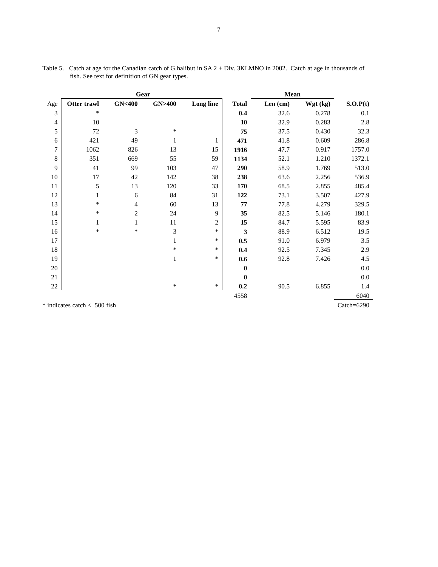|                                                   |             | Gear             |                  |                | Mean         |         |            |          |  |  |
|---------------------------------------------------|-------------|------------------|------------------|----------------|--------------|---------|------------|----------|--|--|
| Age                                               | Otter trawl | <b>GN&lt;400</b> | <b>GN&gt;400</b> | Long line      | <b>Total</b> | Len(cm) | $Wgt$ (kg) | S.O.P(t) |  |  |
| 3                                                 | $\ast$      |                  |                  |                | 0.4          | 32.6    | 0.278      | 0.1      |  |  |
| 4                                                 | 10          |                  |                  |                | 10           | 32.9    | 0.283      | 2.8      |  |  |
| 5                                                 | 72          | 3                | $\ast$           |                | 75           | 37.5    | 0.430      | 32.3     |  |  |
| 6                                                 | 421         | 49               | $\mathbf{1}$     | 1              | 471          | 41.8    | 0.609      | 286.8    |  |  |
| 7                                                 | 1062        | 826              | 13               | 15             | 1916         | 47.7    | 0.917      | 1757.0   |  |  |
| 8                                                 | 351         | 669              | 55               | 59             | 1134         | 52.1    | 1.210      | 1372.1   |  |  |
| 9                                                 | 41          | 99               | 103              | 47             | 290          | 58.9    | 1.769      | 513.0    |  |  |
| 10                                                | 17          | 42               | 142              | 38             | 238          | 63.6    | 2.256      | 536.9    |  |  |
| 11                                                | 5           | 13               | 120              | 33             | 170          | 68.5    | 2.855      | 485.4    |  |  |
| 12                                                | 1           | 6                | 84               | 31             | 122          | 73.1    | 3.507      | 427.9    |  |  |
| 13                                                | $\ast$      | $\overline{4}$   | 60               | 13             | 77           | 77.8    | 4.279      | 329.5    |  |  |
| 14                                                | $\ast$      | $\overline{c}$   | 24               | 9              | 35           | 82.5    | 5.146      | 180.1    |  |  |
| 15                                                | 1           | 1                | 11               | $\overline{c}$ | 15           | 84.7    | 5.595      | 83.9     |  |  |
| 16                                                | $\ast$      | *                | 3                | $\ast$         | 3            | 88.9    | 6.512      | 19.5     |  |  |
| 17                                                |             |                  | $\mathbf{1}$     | *              | 0.5          | 91.0    | 6.979      | 3.5      |  |  |
| 18                                                |             |                  | $\ast$           | $\ast$         | 0.4          | 92.5    | 7.345      | 2.9      |  |  |
| 19                                                |             |                  | $\mathbf{1}$     | $\ast$         | 0.6          | 92.8    | 7.426      | 4.5      |  |  |
| 20                                                |             |                  |                  |                | $\bf{0}$     |         |            | $0.0\,$  |  |  |
| 21                                                |             |                  |                  |                | $\bf{0}$     |         |            | $0.0\,$  |  |  |
| $22\,$                                            |             |                  | $\ast$           | $\ast$         | 0.2          | 90.5    | 6.855      | 1.4      |  |  |
|                                                   |             |                  |                  |                | 4558         |         |            | 6040     |  |  |
| Catch= $6290$<br>$*$ indicates catch $<$ 500 fish |             |                  |                  |                |              |         |            |          |  |  |

Table 5. Catch at age for the Canadian catch of G.halibut in SA 2 + Div. 3KLMNO in 2002. Catch at age in thousands of fish. See text for definition of GN gear types.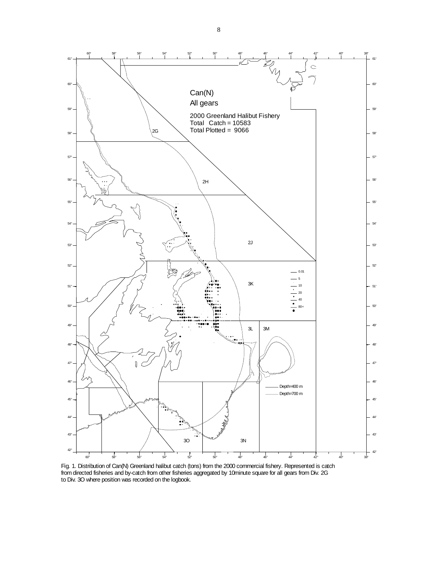

Fig. 1. Distribution of Can(N) Greenland halibut catch (tons) from the 2000 commercial fishery. Represented is catch from directed fisheries and by-catch from other fisheries aggregated by 10minute square for all gears from Div. 2G to Div. 3O where position was recorded on the logbook.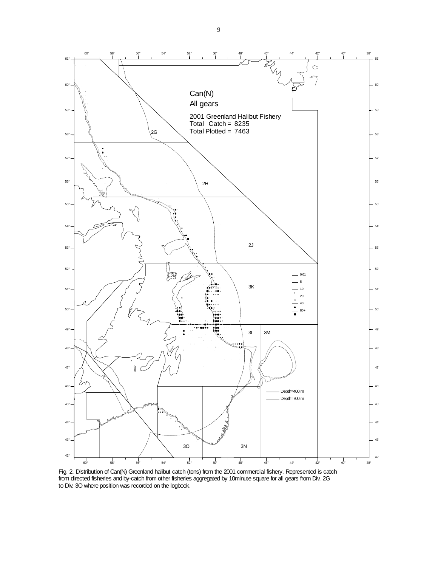

Fig. 2. Distribution of Can(N) Greenland halibut catch (tons) from the 2001 commercial fishery. Represented is catch from directed fisheries and by-catch from other fisheries aggregated by 10minute square for all gears from Div. 2G to Div. 3O where position was recorded on the logbook.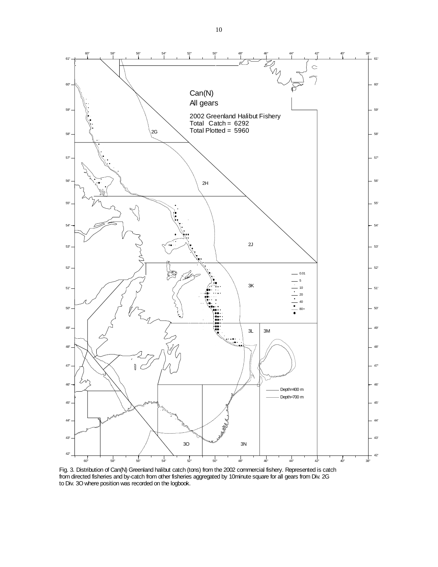

Fig. 3. Distribution of Can(N) Greenland halibut catch (tons) from the 2002 commercial fishery. Represented is catch from directed fisheries and by-catch from other fisheries aggregated by 10minute square for all gears from Div. 2G to Div. 3O where position was recorded on the logbook.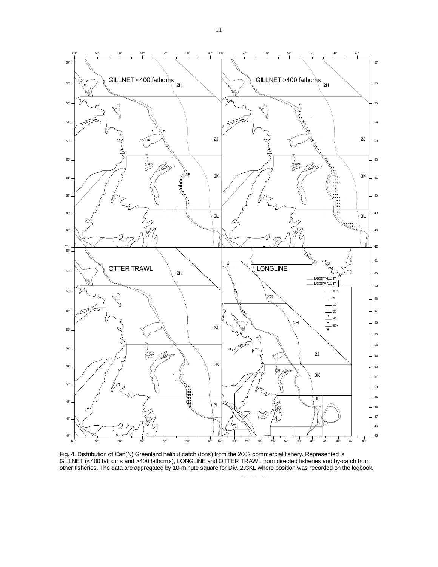

Fig. 4. Distribution of Can(N) Greenland halibut catch (tons) from the 2002 commercial fishery. Represented is GILLNET (<400 fathoms and >400 fathoms), LONGLINE and OTTER TRAWL from directed fisheries and by-catch from other fisheries. The data are aggregated by 10-minute square for Div. 2J3KL where position was recorded on the logbook.

hl2001 if t b ACN

11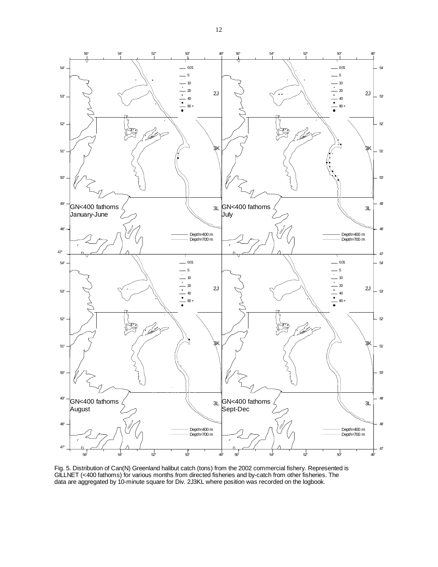

Fig. 5. Distribution of Can(N) Greenland halibut catch (tons) from the 2002 commercial fishery. Represented is GILLNET (<400 fathoms) for various months from directed fisheries and by-catch from other fisheries. The data are aggregated by 10-minute square for Div. 2J3KL where position was recorded on the logbook.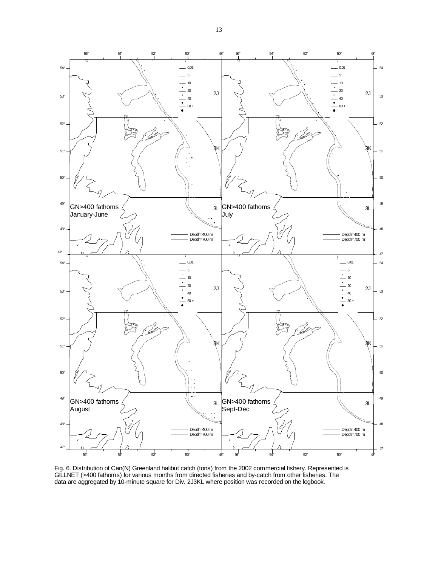

Fig. 6. Distribution of Can(N) Greenland halibut catch (tons) from the 2002 commercial fishery. Represented is GILLNET (>400 fathoms) for various months from directed fisheries and by-catch from other fisheries. The data are aggregated by 10-minute square for Div. 2J3KL where position was recorded on the logbook.